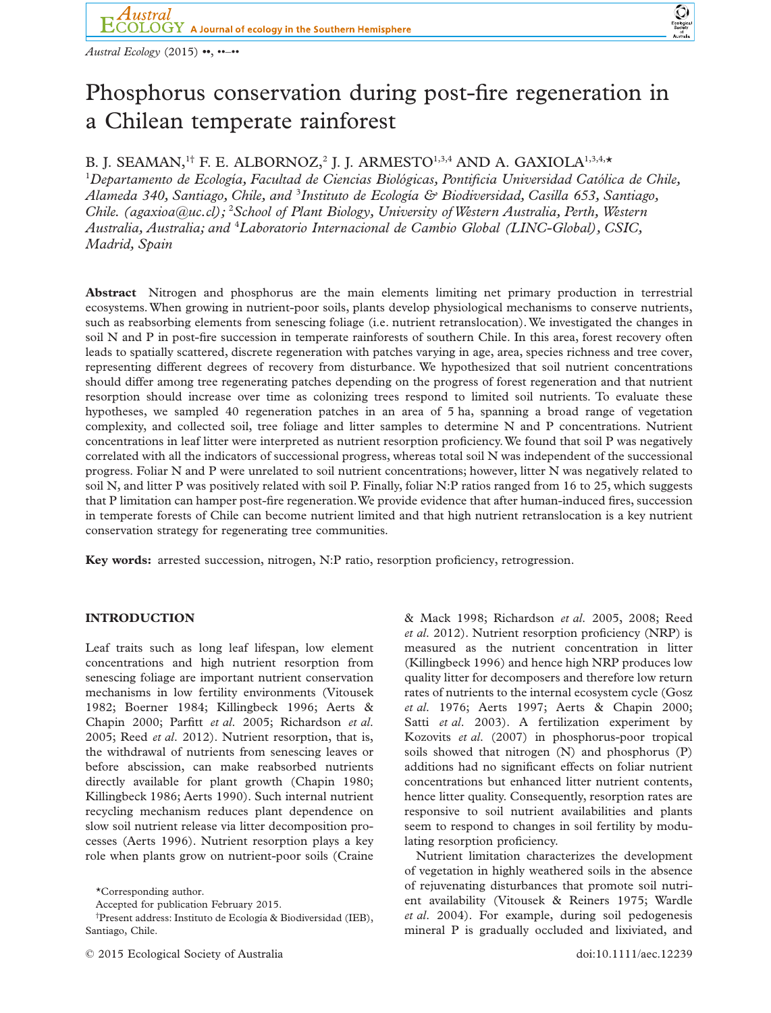

bs\_bs\_banner



# Phosphorus conservation during post-fire regeneration in a Chilean temperate rainforest

## B. J. SEAMAN,<sup>1†</sup> F. E. ALBORNOZ,<sup>2</sup> J. J. ARMESTO<sup>1,3,4</sup> AND A. GAXIOLA<sup>1,3,4</sup>,\*

1 *Departamento de Ecología, Facultad de Ciencias Biológicas, Pontificia Universidad Católica de Chile, Alameda 340, Santiago, Chile, and* <sup>3</sup> *Instituto de Ecología & Biodiversidad, Casilla 653, Santiago, Chile. [\(agaxioa@uc.cl\)](mailto:agaxioa@uc.cl);* <sup>2</sup> *School of Plant Biology, University ofWestern Australia, Perth, Western Australia, Australia; and* <sup>4</sup> *Laboratorio Internacional de Cambio Global (LINC-Global), CSIC, Madrid, Spain*

**Abstract** Nitrogen and phosphorus are the main elements limiting net primary production in terrestrial ecosystems.When growing in nutrient-poor soils, plants develop physiological mechanisms to conserve nutrients, such as reabsorbing elements from senescing foliage (i.e. nutrient retranslocation).We investigated the changes in soil N and P in post-fire succession in temperate rainforests of southern Chile. In this area, forest recovery often leads to spatially scattered, discrete regeneration with patches varying in age, area, species richness and tree cover, representing different degrees of recovery from disturbance. We hypothesized that soil nutrient concentrations should differ among tree regenerating patches depending on the progress of forest regeneration and that nutrient resorption should increase over time as colonizing trees respond to limited soil nutrients. To evaluate these hypotheses, we sampled 40 regeneration patches in an area of 5 ha, spanning a broad range of vegetation complexity, and collected soil, tree foliage and litter samples to determine N and P concentrations. Nutrient concentrations in leaf litter were interpreted as nutrient resorption proficiency.We found that soil P was negatively correlated with all the indicators of successional progress, whereas total soil N was independent of the successional progress. Foliar N and P were unrelated to soil nutrient concentrations; however, litter N was negatively related to soil N, and litter P was positively related with soil P. Finally, foliar N:P ratios ranged from 16 to 25, which suggests that P limitation can hamper post-fire regeneration.We provide evidence that after human-induced fires, succession in temperate forests of Chile can become nutrient limited and that high nutrient retranslocation is a key nutrient conservation strategy for regenerating tree communities.

**Key words:** arrested succession, nitrogen, N:P ratio, resorption proficiency, retrogression.

## **INTRODUCTION**

Leaf traits such as long leaf lifespan, low element concentrations and high nutrient resorption from senescing foliage are important nutrient conservation mechanisms in low fertility environments (Vitousek 1982; Boerner 1984; Killingbeck 1996; Aerts & Chapin 2000; Parfitt *et al*. 2005; Richardson *et al*. 2005; Reed *et al*. 2012). Nutrient resorption, that is, the withdrawal of nutrients from senescing leaves or before abscission, can make reabsorbed nutrients directly available for plant growth (Chapin 1980; Killingbeck 1986; Aerts 1990). Such internal nutrient recycling mechanism reduces plant dependence on slow soil nutrient release via litter decomposition processes (Aerts 1996). Nutrient resorption plays a key role when plants grow on nutrient-poor soils (Craine

*et al*. 2012). Nutrient resorption proficiency (NRP) is measured as the nutrient concentration in litter (Killingbeck 1996) and hence high NRP produces low quality litter for decomposers and therefore low return rates of nutrients to the internal ecosystem cycle (Gosz *et al*. 1976; Aerts 1997; Aerts & Chapin 2000; Satti *et al*. 2003). A fertilization experiment by Kozovits *et al*. (2007) in phosphorus-poor tropical soils showed that nitrogen (N) and phosphorus (P) additions had no significant effects on foliar nutrient concentrations but enhanced litter nutrient contents, hence litter quality. Consequently, resorption rates are responsive to soil nutrient availabilities and plants seem to respond to changes in soil fertility by modulating resorption proficiency.

& Mack 1998; Richardson *et al*. 2005, 2008; Reed

Nutrient limitation characterizes the development of vegetation in highly weathered soils in the absence of rejuvenating disturbances that promote soil nutrient availability (Vitousek & Reiners 1975; Wardle *et al*. 2004). For example, during soil pedogenesis mineral P is gradually occluded and lixiviated, and

<sup>\*</sup>Corresponding author.

Accepted for publication February 2015.

<sup>†</sup> Present address: Instituto de Ecología & Biodiversidad (IEB), Santiago, Chile.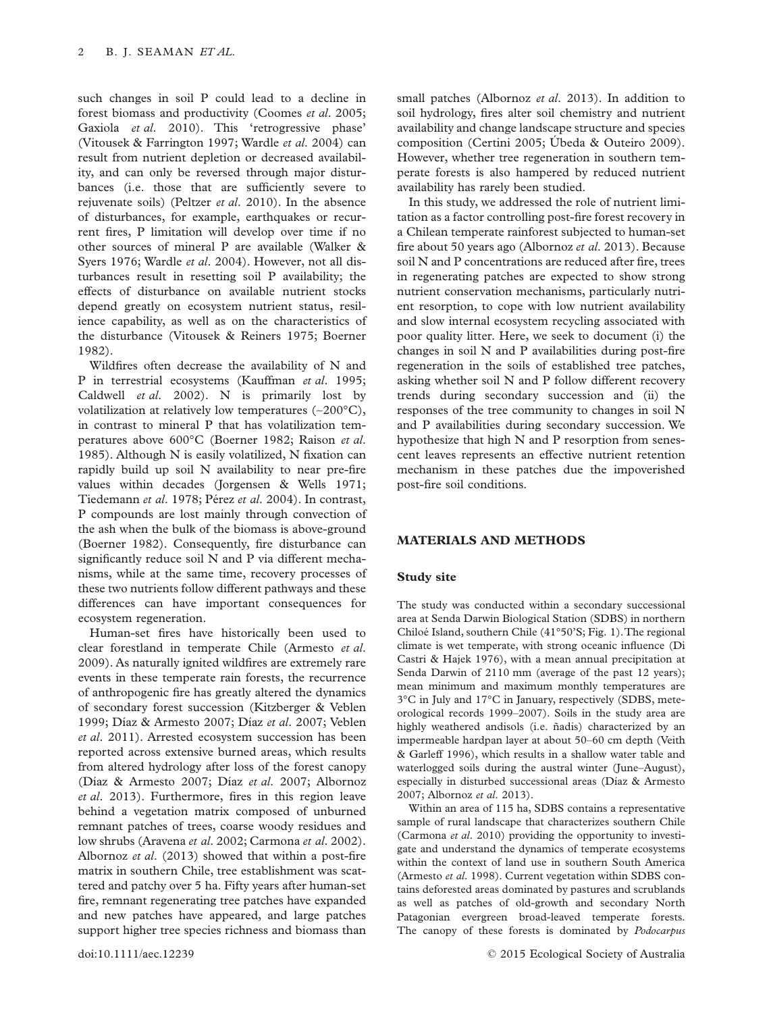such changes in soil P could lead to a decline in forest biomass and productivity (Coomes *et al*. 2005; Gaxiola *et al*. 2010). This 'retrogressive phase' (Vitousek & Farrington 1997; Wardle *et al*. 2004) can result from nutrient depletion or decreased availability, and can only be reversed through major disturbances (i.e. those that are sufficiently severe to rejuvenate soils) (Peltzer *et al*. 2010). In the absence of disturbances, for example, earthquakes or recurrent fires, P limitation will develop over time if no other sources of mineral P are available (Walker & Syers 1976; Wardle *et al*. 2004). However, not all disturbances result in resetting soil P availability; the effects of disturbance on available nutrient stocks depend greatly on ecosystem nutrient status, resilience capability, as well as on the characteristics of the disturbance (Vitousek & Reiners 1975; Boerner 1982).

Wildfires often decrease the availability of N and P in terrestrial ecosystems (Kauffman *et al*. 1995; Caldwell *et al*. 2002). N is primarily lost by volatilization at relatively low temperatures (∼200°C), in contrast to mineral P that has volatilization temperatures above 600°C (Boerner 1982; Raison *et al*. 1985). Although N is easily volatilized, N fixation can rapidly build up soil N availability to near pre-fire values within decades (Jorgensen & Wells 1971; Tiedemann *et al*. 1978; Pérez *et al*. 2004). In contrast, P compounds are lost mainly through convection of the ash when the bulk of the biomass is above-ground (Boerner 1982). Consequently, fire disturbance can significantly reduce soil N and P via different mechanisms, while at the same time, recovery processes of these two nutrients follow different pathways and these differences can have important consequences for ecosystem regeneration.

Human-set fires have historically been used to clear forestland in temperate Chile (Armesto *et al*. 2009). As naturally ignited wildfires are extremely rare events in these temperate rain forests, the recurrence of anthropogenic fire has greatly altered the dynamics of secondary forest succession (Kitzberger & Veblen 1999; Díaz & Armesto 2007; Díaz *et al*. 2007; Veblen *et al*. 2011). Arrested ecosystem succession has been reported across extensive burned areas, which results from altered hydrology after loss of the forest canopy (Díaz & Armesto 2007; Díaz *et al*. 2007; Albornoz *et al*. 2013). Furthermore, fires in this region leave behind a vegetation matrix composed of unburned remnant patches of trees, coarse woody residues and low shrubs (Aravena *et al*. 2002; Carmona *et al*. 2002). Albornoz *et al*. (2013) showed that within a post-fire matrix in southern Chile, tree establishment was scattered and patchy over 5 ha. Fifty years after human-set fire, remnant regenerating tree patches have expanded and new patches have appeared, and large patches support higher tree species richness and biomass than

small patches (Albornoz *et al*. 2013). In addition to soil hydrology, fires alter soil chemistry and nutrient availability and change landscape structure and species composition (Certini 2005; Úbeda & Outeiro 2009). However, whether tree regeneration in southern temperate forests is also hampered by reduced nutrient availability has rarely been studied.

In this study, we addressed the role of nutrient limitation as a factor controlling post-fire forest recovery in a Chilean temperate rainforest subjected to human-set fire about 50 years ago (Albornoz *et al*. 2013). Because soil N and P concentrations are reduced after fire, trees in regenerating patches are expected to show strong nutrient conservation mechanisms, particularly nutrient resorption, to cope with low nutrient availability and slow internal ecosystem recycling associated with poor quality litter. Here, we seek to document (i) the changes in soil N and P availabilities during post-fire regeneration in the soils of established tree patches, asking whether soil N and P follow different recovery trends during secondary succession and (ii) the responses of the tree community to changes in soil N and P availabilities during secondary succession. We hypothesize that high N and P resorption from senescent leaves represents an effective nutrient retention mechanism in these patches due the impoverished post-fire soil conditions.

## **MATERIALS AND METHODS**

## **Study site**

The study was conducted within a secondary successional area at Senda Darwin Biological Station (SDBS) in northern Chiloé Island, southern Chile (41°50'S; Fig. 1).The regional climate is wet temperate, with strong oceanic influence (Di Castri & Hajek 1976), with a mean annual precipitation at Senda Darwin of 2110 mm (average of the past 12 years); mean minimum and maximum monthly temperatures are 3°C in July and 17°C in January, respectively (SDBS, meteorological records 1999–2007). Soils in the study area are highly weathered andisols (i.e. ñadis) characterized by an impermeable hardpan layer at about 50–60 cm depth (Veith & Garleff 1996), which results in a shallow water table and waterlogged soils during the austral winter (June–August), especially in disturbed successional areas (Díaz & Armesto 2007; Albornoz *et al*. 2013).

Within an area of 115 ha, SDBS contains a representative sample of rural landscape that characterizes southern Chile (Carmona *et al*. 2010) providing the opportunity to investigate and understand the dynamics of temperate ecosystems within the context of land use in southern South America (Armesto *et al*. 1998). Current vegetation within SDBS contains deforested areas dominated by pastures and scrublands as well as patches of old-growth and secondary North Patagonian evergreen broad-leaved temperate forests. The canopy of these forests is dominated by *Podocarpus*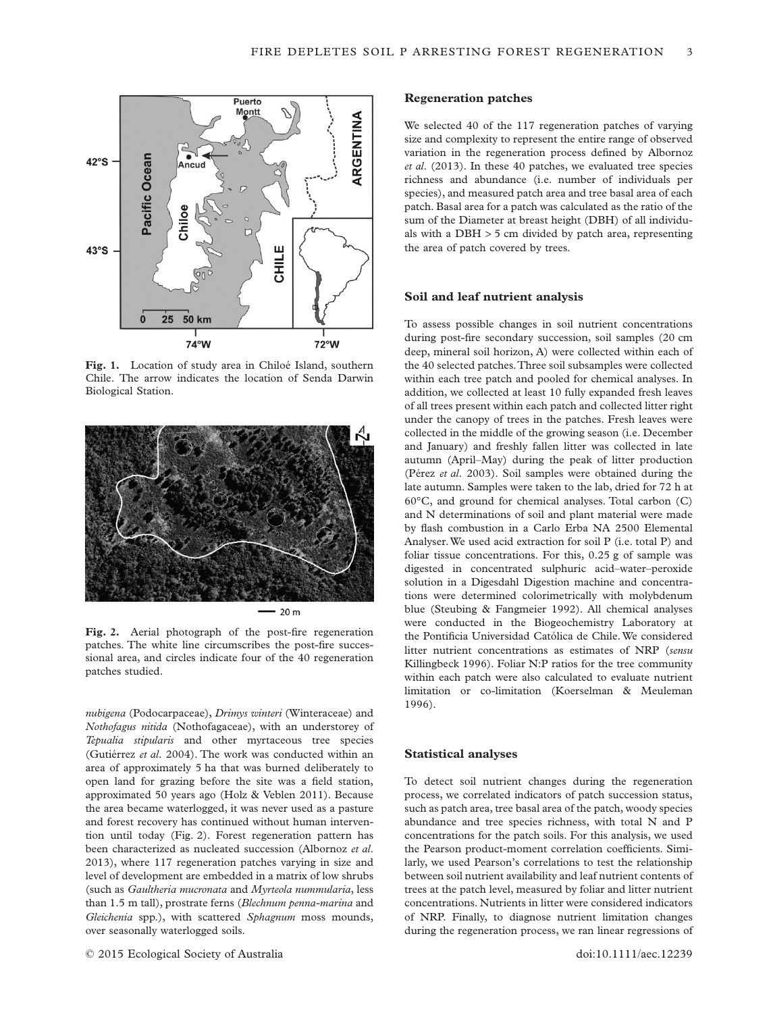

**Fig. 1.** Location of study area in Chiloé Island, southern Chile. The arrow indicates the location of Senda Darwin Biological Station.



Fig. 2. Aerial photograph of the post-fire regeneration patches. The white line circumscribes the post-fire successional area, and circles indicate four of the 40 regeneration patches studied.

*nubigena* (Podocarpaceae), *Drimys winteri* (Winteraceae) and *Nothofagus nitida* (Nothofagaceae), with an understorey of *Tepualia stipularis* and other myrtaceous tree species (Gutiérrez *et al*. 2004). The work was conducted within an area of approximately 5 ha that was burned deliberately to open land for grazing before the site was a field station, approximated 50 years ago (Holz & Veblen 2011). Because the area became waterlogged, it was never used as a pasture and forest recovery has continued without human intervention until today (Fig. 2). Forest regeneration pattern has been characterized as nucleated succession (Albornoz *et al*. 2013), where 117 regeneration patches varying in size and level of development are embedded in a matrix of low shrubs (such as *Gaultheria mucronata* and *Myrteola nummularia*, less than 1.5 m tall), prostrate ferns (*Blechnum penna-marina* and *Gleichenia* spp.), with scattered *Sphagnum* moss mounds, over seasonally waterlogged soils.

## **Regeneration patches**

We selected 40 of the 117 regeneration patches of varying size and complexity to represent the entire range of observed variation in the regeneration process defined by Albornoz *et al*. (2013). In these 40 patches, we evaluated tree species richness and abundance (i.e. number of individuals per species), and measured patch area and tree basal area of each patch. Basal area for a patch was calculated as the ratio of the sum of the Diameter at breast height (DBH) of all individuals with a DBH > 5 cm divided by patch area, representing the area of patch covered by trees.

#### **Soil and leaf nutrient analysis**

To assess possible changes in soil nutrient concentrations during post-fire secondary succession, soil samples (20 cm deep, mineral soil horizon, A) were collected within each of the 40 selected patches.Three soil subsamples were collected within each tree patch and pooled for chemical analyses. In addition, we collected at least 10 fully expanded fresh leaves of all trees present within each patch and collected litter right under the canopy of trees in the patches. Fresh leaves were collected in the middle of the growing season (i.e. December and January) and freshly fallen litter was collected in late autumn (April–May) during the peak of litter production (Pérez *et al*. 2003). Soil samples were obtained during the late autumn. Samples were taken to the lab, dried for 72 h at 60°C, and ground for chemical analyses. Total carbon (C) and N determinations of soil and plant material were made by flash combustion in a Carlo Erba NA 2500 Elemental Analyser.We used acid extraction for soil P (i.e. total P) and foliar tissue concentrations. For this, 0.25 g of sample was digested in concentrated sulphuric acid–water–peroxide solution in a Digesdahl Digestion machine and concentrations were determined colorimetrically with molybdenum blue (Steubing & Fangmeier 1992). All chemical analyses were conducted in the Biogeochemistry Laboratory at the Pontificia Universidad Católica de Chile.We considered litter nutrient concentrations as estimates of NRP (*sensu* Killingbeck 1996). Foliar N:P ratios for the tree community within each patch were also calculated to evaluate nutrient limitation or co-limitation (Koerselman & Meuleman 1996).

## **Statistical analyses**

To detect soil nutrient changes during the regeneration process, we correlated indicators of patch succession status, such as patch area, tree basal area of the patch, woody species abundance and tree species richness, with total N and P concentrations for the patch soils. For this analysis, we used the Pearson product-moment correlation coefficients. Similarly, we used Pearson's correlations to test the relationship between soil nutrient availability and leaf nutrient contents of trees at the patch level, measured by foliar and litter nutrient concentrations. Nutrients in litter were considered indicators of NRP. Finally, to diagnose nutrient limitation changes during the regeneration process, we ran linear regressions of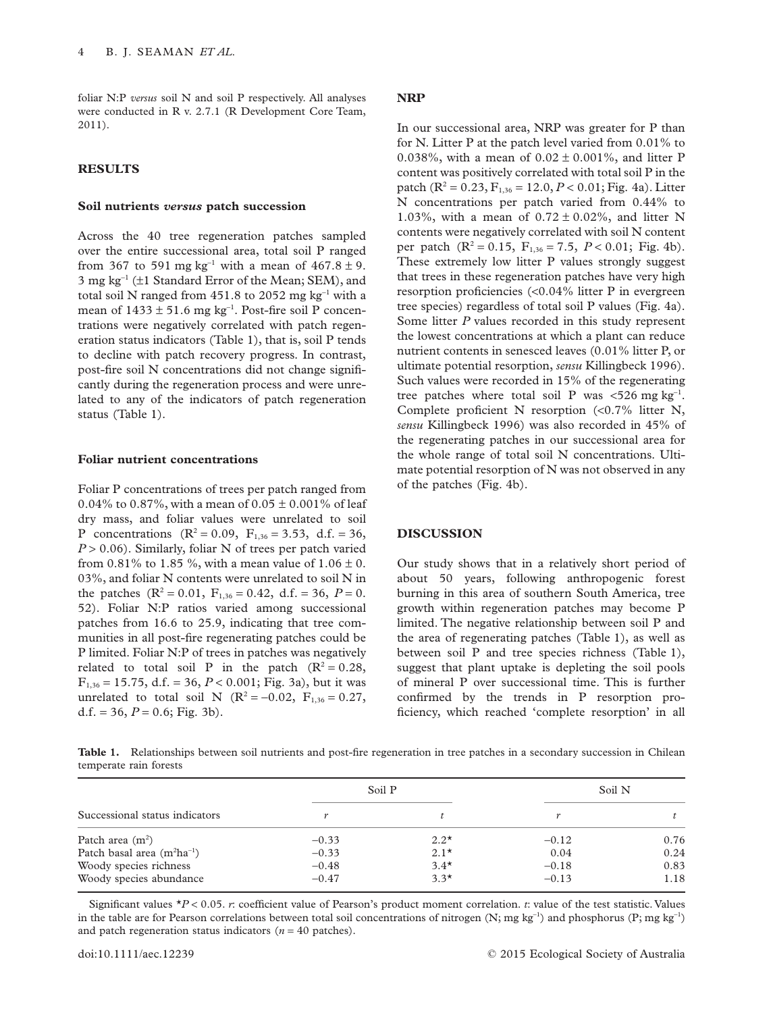foliar N:P *versus* soil N and soil P respectively. All analyses were conducted in R v. 2.7.1 (R Development Core Team, 2011).

## **RESULTS**

## **Soil nutrients** *versus* **patch succession**

Across the 40 tree regeneration patches sampled over the entire successional area, total soil P ranged from 367 to 591 mg kg<sup>-1</sup> with a mean of  $467.8 \pm 9$ . 3 mg kg<sup>−</sup><sup>1</sup> (±1 Standard Error of the Mean; SEM), and total soil N ranged from 451.8 to 2052 mg kg<sup>-1</sup> with a mean of  $1433 \pm 51.6$  mg kg<sup>-1</sup>. Post-fire soil P concentrations were negatively correlated with patch regeneration status indicators (Table 1), that is, soil P tends to decline with patch recovery progress. In contrast, post-fire soil N concentrations did not change significantly during the regeneration process and were unrelated to any of the indicators of patch regeneration status (Table 1).

## **Foliar nutrient concentrations**

Foliar P concentrations of trees per patch ranged from 0.04% to 0.87%, with a mean of 0.05  $\pm$  0.001% of leaf dry mass, and foliar values were unrelated to soil P concentrations  $(R^2 = 0.09, F_{1,36} = 3.53, d.f. = 36,$ *P* > 0.06). Similarly, foliar N of trees per patch varied from 0.81% to 1.85 %, with a mean value of  $1.06 \pm 0$ . 03%, and foliar N contents were unrelated to soil N in the patches  $(R^2 = 0.01, F_{1,36} = 0.42, d.f. = 36, P = 0.$ 52). Foliar N:P ratios varied among successional patches from 16.6 to 25.9, indicating that tree communities in all post-fire regenerating patches could be P limited. Foliar N:P of trees in patches was negatively related to total soil P in the patch  $(R^2 = 0.28,$  $F_{1,36} = 15.75$ , d.f. = 36,  $P < 0.001$ ; Fig. 3a), but it was unrelated to total soil N ( $R^2 = -0.02$ ,  $F_{1,36} = 0.27$ , d.f. = 36,  $P = 0.6$ ; Fig. 3b).

## **NRP**

In our successional area, NRP was greater for P than for N. Litter P at the patch level varied from 0.01% to 0.038%, with a mean of  $0.02 \pm 0.001$ %, and litter P content was positively correlated with total soil P in the patch ( $\mathbb{R}^2 = 0.23$ ,  $F_{1,36} = 12.0$ ,  $P < 0.01$ ; Fig. 4a). Litter N concentrations per patch varied from 0.44% to 1.03%, with a mean of  $0.72 \pm 0.02$ %, and litter N contents were negatively correlated with soil N content per patch  $(R^2 = 0.15, F_{1,36} = 7.5, P < 0.01$ ; Fig. 4b). These extremely low litter P values strongly suggest that trees in these regeneration patches have very high resorption proficiencies (<0.04% litter P in evergreen tree species) regardless of total soil P values (Fig. 4a). Some litter *P* values recorded in this study represent the lowest concentrations at which a plant can reduce nutrient contents in senesced leaves (0.01% litter P, or ultimate potential resorption, *sensu* Killingbeck 1996). Such values were recorded in 15% of the regenerating tree patches where total soil P was <526 mg kg<sup>-1</sup>. Complete proficient N resorption (<0.7% litter N, *sensu* Killingbeck 1996) was also recorded in 45% of the regenerating patches in our successional area for the whole range of total soil N concentrations. Ultimate potential resorption of N was not observed in any of the patches (Fig. 4b).

## **DISCUSSION**

Our study shows that in a relatively short period of about 50 years, following anthropogenic forest burning in this area of southern South America, tree growth within regeneration patches may become P limited. The negative relationship between soil P and the area of regenerating patches (Table 1), as well as between soil P and tree species richness (Table 1), suggest that plant uptake is depleting the soil pools of mineral P over successional time. This is further confirmed by the trends in P resorption proficiency, which reached 'complete resorption' in all

**Table 1.** Relationships between soil nutrients and post-fire regeneration in tree patches in a secondary succession in Chilean temperate rain forests

| Successional status indicators  | Soil P  |        | Soil N  |      |
|---------------------------------|---------|--------|---------|------|
|                                 |         |        |         |      |
| Patch area $(m2)$               | $-0.33$ | $2.2*$ | $-0.12$ | 0.76 |
| Patch basal area $(m^2ha^{-1})$ | $-0.33$ | $2.1*$ | 0.04    | 0.24 |
| Woody species richness          | $-0.48$ | $3.4*$ | $-0.18$ | 0.83 |
| Woody species abundance         | $-0.47$ | $3.3*$ | $-0.13$ | 1.18 |

Significant values  $*P < 0.05$ . *r*: coefficient value of Pearson's product moment correlation. *t*: value of the test statistic. Values in the table are for Pearson correlations between total soil concentrations of nitrogen (N; mg kg<sup>-1</sup>) and phosphorus (P; mg kg<sup>-1</sup>) and patch regeneration status indicators  $(n = 40 \text{ patches})$ .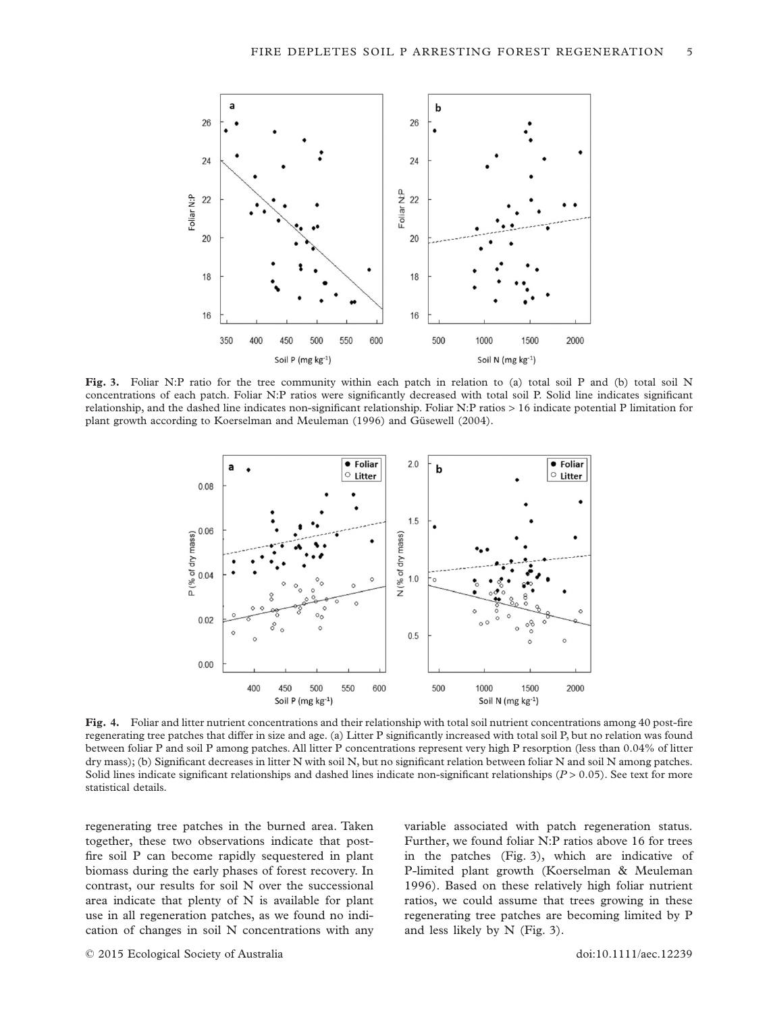

**Fig. 3.** Foliar N:P ratio for the tree community within each patch in relation to (a) total soil P and (b) total soil N concentrations of each patch. Foliar N:P ratios were significantly decreased with total soil P. Solid line indicates significant relationship, and the dashed line indicates non-significant relationship. Foliar N:P ratios > 16 indicate potential P limitation for plant growth according to Koerselman and Meuleman (1996) and Güsewell (2004).



**Fig. 4.** Foliar and litter nutrient concentrations and their relationship with total soil nutrient concentrations among 40 post-fire regenerating tree patches that differ in size and age. (a) Litter P significantly increased with total soil P, but no relation was found between foliar P and soil P among patches. All litter P concentrations represent very high P resorption (less than 0.04% of litter dry mass); (b) Significant decreases in litter N with soil N, but no significant relation between foliar N and soil N among patches. Solid lines indicate significant relationships and dashed lines indicate non-significant relationships ( $P > 0.05$ ). See text for more statistical details.

regenerating tree patches in the burned area. Taken together, these two observations indicate that postfire soil P can become rapidly sequestered in plant biomass during the early phases of forest recovery. In contrast, our results for soil N over the successional area indicate that plenty of N is available for plant use in all regeneration patches, as we found no indication of changes in soil N concentrations with any variable associated with patch regeneration status. Further, we found foliar N:P ratios above 16 for trees in the patches (Fig. 3), which are indicative of P-limited plant growth (Koerselman & Meuleman 1996). Based on these relatively high foliar nutrient ratios, we could assume that trees growing in these regenerating tree patches are becoming limited by P and less likely by N (Fig. 3).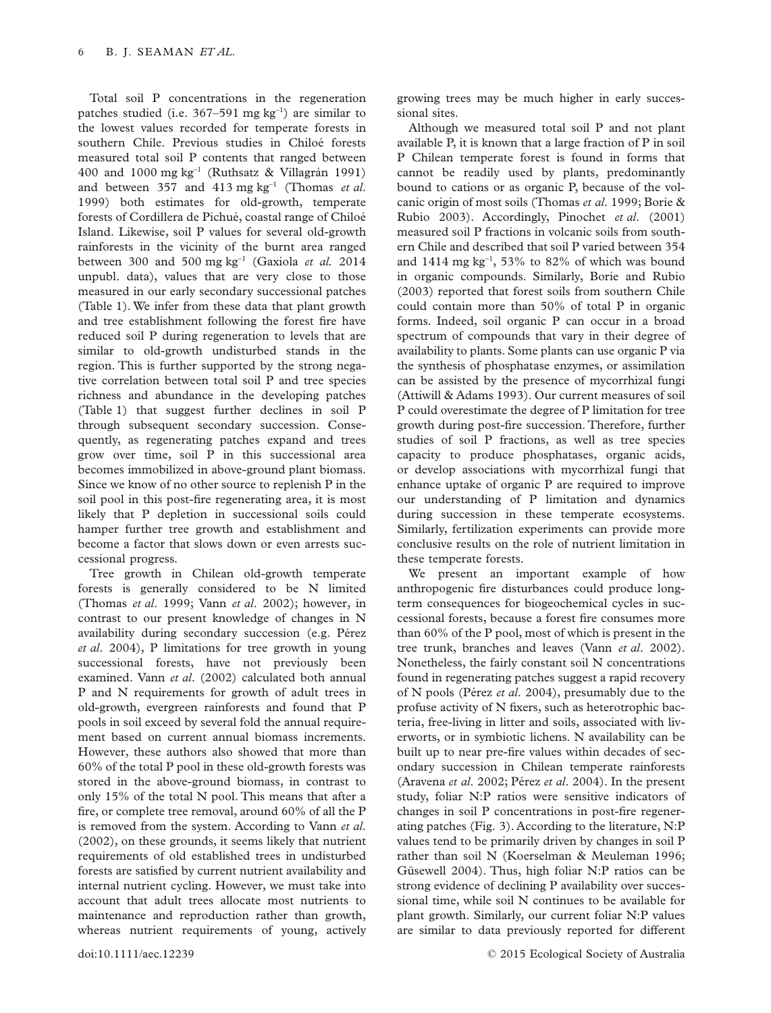Total soil P concentrations in the regeneration patches studied (i.e. 367–591 mg kg<sup>−</sup><sup>1</sup> ) are similar to the lowest values recorded for temperate forests in southern Chile. Previous studies in Chiloé forests measured total soil P contents that ranged between 400 and 1000 mg kg<sup>−</sup><sup>1</sup> (Ruthsatz & Villagrán 1991) and between 357 and 413 mg kg<sup>−</sup><sup>1</sup> (Thomas *et al*. 1999) both estimates for old-growth, temperate forests of Cordillera de Pichué, coastal range of Chiloé Island. Likewise, soil P values for several old-growth rainforests in the vicinity of the burnt area ranged between 300 and 500 mg kg<sup>−</sup><sup>1</sup> (Gaxiola *et al.* 2014 unpubl. data), values that are very close to those measured in our early secondary successional patches (Table 1). We infer from these data that plant growth and tree establishment following the forest fire have reduced soil P during regeneration to levels that are similar to old-growth undisturbed stands in the region. This is further supported by the strong negative correlation between total soil P and tree species richness and abundance in the developing patches (Table 1) that suggest further declines in soil P through subsequent secondary succession. Consequently, as regenerating patches expand and trees grow over time, soil P in this successional area becomes immobilized in above-ground plant biomass. Since we know of no other source to replenish P in the soil pool in this post-fire regenerating area, it is most likely that P depletion in successional soils could hamper further tree growth and establishment and become a factor that slows down or even arrests successional progress.

Tree growth in Chilean old-growth temperate forests is generally considered to be N limited (Thomas *et al*. 1999; Vann *et al*. 2002); however, in contrast to our present knowledge of changes in N availability during secondary succession (e.g. Pérez *et al*. 2004), P limitations for tree growth in young successional forests, have not previously been examined. Vann *et al*. (2002) calculated both annual P and N requirements for growth of adult trees in old-growth, evergreen rainforests and found that P pools in soil exceed by several fold the annual requirement based on current annual biomass increments. However, these authors also showed that more than 60% of the total P pool in these old-growth forests was stored in the above-ground biomass, in contrast to only 15% of the total N pool. This means that after a fire, or complete tree removal, around 60% of all the P is removed from the system. According to Vann *et al*. (2002), on these grounds, it seems likely that nutrient requirements of old established trees in undisturbed forests are satisfied by current nutrient availability and internal nutrient cycling. However, we must take into account that adult trees allocate most nutrients to maintenance and reproduction rather than growth, whereas nutrient requirements of young, actively

growing trees may be much higher in early successional sites.

Although we measured total soil P and not plant available P, it is known that a large fraction of P in soil P Chilean temperate forest is found in forms that cannot be readily used by plants, predominantly bound to cations or as organic P, because of the volcanic origin of most soils (Thomas *et al*. 1999; Borie & Rubio 2003). Accordingly, Pinochet *et al*. (2001) measured soil P fractions in volcanic soils from southern Chile and described that soil P varied between 354 and 1414 mg kg<sup>−</sup><sup>1</sup> , 53% to 82% of which was bound in organic compounds. Similarly, Borie and Rubio (2003) reported that forest soils from southern Chile could contain more than 50% of total P in organic forms. Indeed, soil organic P can occur in a broad spectrum of compounds that vary in their degree of availability to plants. Some plants can use organic P via the synthesis of phosphatase enzymes, or assimilation can be assisted by the presence of mycorrhizal fungi (Attiwill & Adams 1993). Our current measures of soil P could overestimate the degree of P limitation for tree growth during post-fire succession. Therefore, further studies of soil P fractions, as well as tree species capacity to produce phosphatases, organic acids, or develop associations with mycorrhizal fungi that enhance uptake of organic P are required to improve our understanding of P limitation and dynamics during succession in these temperate ecosystems. Similarly, fertilization experiments can provide more conclusive results on the role of nutrient limitation in these temperate forests.

We present an important example of how anthropogenic fire disturbances could produce longterm consequences for biogeochemical cycles in successional forests, because a forest fire consumes more than 60% of the P pool, most of which is present in the tree trunk, branches and leaves (Vann *et al*. 2002). Nonetheless, the fairly constant soil N concentrations found in regenerating patches suggest a rapid recovery of N pools (Pérez *et al*. 2004), presumably due to the profuse activity of N fixers, such as heterotrophic bacteria, free-living in litter and soils, associated with liverworts, or in symbiotic lichens. N availability can be built up to near pre-fire values within decades of secondary succession in Chilean temperate rainforests (Aravena *et al*. 2002; Pérez *et al*. 2004). In the present study, foliar N:P ratios were sensitive indicators of changes in soil P concentrations in post-fire regenerating patches (Fig. 3). According to the literature, N:P values tend to be primarily driven by changes in soil P rather than soil N (Koerselman & Meuleman 1996; Güsewell 2004). Thus, high foliar N:P ratios can be strong evidence of declining P availability over successional time, while soil N continues to be available for plant growth. Similarly, our current foliar N:P values are similar to data previously reported for different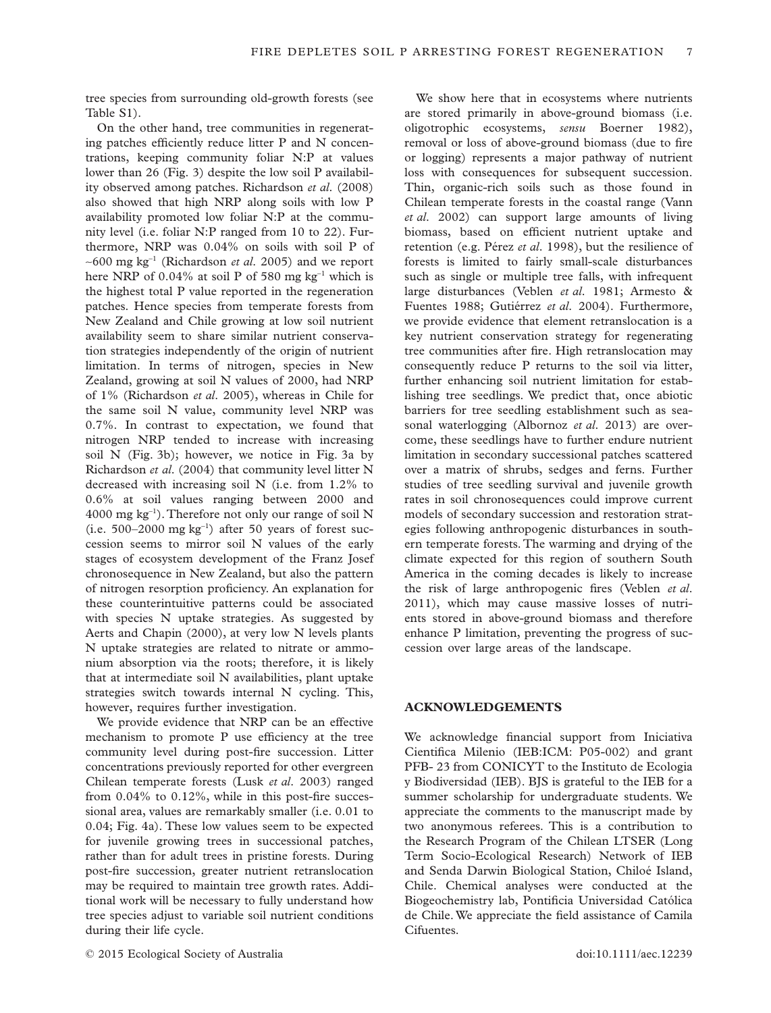tree species from surrounding old-growth forests (see Table S1).

On the other hand, tree communities in regenerating patches efficiently reduce litter P and N concentrations, keeping community foliar N:P at values lower than 26 (Fig. 3) despite the low soil P availability observed among patches. Richardson *et al*. (2008) also showed that high NRP along soils with low P availability promoted low foliar N:P at the community level (i.e. foliar N:P ranged from 10 to 22). Furthermore, NRP was 0.04% on soils with soil P of ∼600 mg kg<sup>−</sup><sup>1</sup> (Richardson *et al*. 2005) and we report here NRP of 0.04% at soil P of 580 mg kg<sup>-1</sup> which is the highest total P value reported in the regeneration patches. Hence species from temperate forests from New Zealand and Chile growing at low soil nutrient availability seem to share similar nutrient conservation strategies independently of the origin of nutrient limitation. In terms of nitrogen, species in New Zealand, growing at soil N values of 2000, had NRP of 1% (Richardson *et al*. 2005), whereas in Chile for the same soil N value, community level NRP was 0.7%. In contrast to expectation, we found that nitrogen NRP tended to increase with increasing soil N (Fig. 3b); however, we notice in Fig. 3a by Richardson *et al*. (2004) that community level litter N decreased with increasing soil N (i.e. from 1.2% to 0.6% at soil values ranging between 2000 and 4000 mg kg<sup>−</sup><sup>1</sup> ). Therefore not only our range of soil N (i.e. 500–2000 mg kg<sup>−</sup><sup>1</sup> ) after 50 years of forest succession seems to mirror soil N values of the early stages of ecosystem development of the Franz Josef chronosequence in New Zealand, but also the pattern of nitrogen resorption proficiency. An explanation for these counterintuitive patterns could be associated with species N uptake strategies. As suggested by Aerts and Chapin (2000), at very low N levels plants N uptake strategies are related to nitrate or ammonium absorption via the roots; therefore, it is likely that at intermediate soil N availabilities, plant uptake strategies switch towards internal N cycling. This, however, requires further investigation.

We provide evidence that NRP can be an effective mechanism to promote P use efficiency at the tree community level during post-fire succession. Litter concentrations previously reported for other evergreen Chilean temperate forests (Lusk *et al*. 2003) ranged from 0.04% to 0.12%, while in this post-fire successional area, values are remarkably smaller (i.e. 0.01 to 0.04; Fig. 4a). These low values seem to be expected for juvenile growing trees in successional patches, rather than for adult trees in pristine forests. During post-fire succession, greater nutrient retranslocation may be required to maintain tree growth rates. Additional work will be necessary to fully understand how tree species adjust to variable soil nutrient conditions during their life cycle.

are stored primarily in above-ground biomass (i.e. oligotrophic ecosystems, *sensu* Boerner 1982), removal or loss of above-ground biomass (due to fire or logging) represents a major pathway of nutrient loss with consequences for subsequent succession. Thin, organic-rich soils such as those found in Chilean temperate forests in the coastal range (Vann *et al*. 2002) can support large amounts of living biomass, based on efficient nutrient uptake and retention (e.g. Pérez *et al*. 1998), but the resilience of forests is limited to fairly small-scale disturbances such as single or multiple tree falls, with infrequent large disturbances (Veblen *et al*. 1981; Armesto & Fuentes 1988; Gutiérrez *et al*. 2004). Furthermore, we provide evidence that element retranslocation is a key nutrient conservation strategy for regenerating tree communities after fire. High retranslocation may consequently reduce P returns to the soil via litter, further enhancing soil nutrient limitation for establishing tree seedlings. We predict that, once abiotic barriers for tree seedling establishment such as seasonal waterlogging (Albornoz *et al*. 2013) are overcome, these seedlings have to further endure nutrient limitation in secondary successional patches scattered over a matrix of shrubs, sedges and ferns. Further studies of tree seedling survival and juvenile growth rates in soil chronosequences could improve current models of secondary succession and restoration strategies following anthropogenic disturbances in southern temperate forests. The warming and drying of the climate expected for this region of southern South America in the coming decades is likely to increase the risk of large anthropogenic fires (Veblen *et al*. 2011), which may cause massive losses of nutrients stored in above-ground biomass and therefore enhance P limitation, preventing the progress of succession over large areas of the landscape.

We show here that in ecosystems where nutrients

## **ACKNOWLEDGEMENTS**

We acknowledge financial support from Iniciativa Cientifica Milenio (IEB:ICM: P05-002) and grant PFB- 23 from CONICYT to the Instituto de Ecologia y Biodiversidad (IEB). BJS is grateful to the IEB for a summer scholarship for undergraduate students. We appreciate the comments to the manuscript made by two anonymous referees. This is a contribution to the Research Program of the Chilean LTSER (Long Term Socio-Ecological Research) Network of IEB and Senda Darwin Biological Station, Chiloé Island, Chile. Chemical analyses were conducted at the Biogeochemistry lab, Pontificia Universidad Católica de Chile.We appreciate the field assistance of Camila Cifuentes.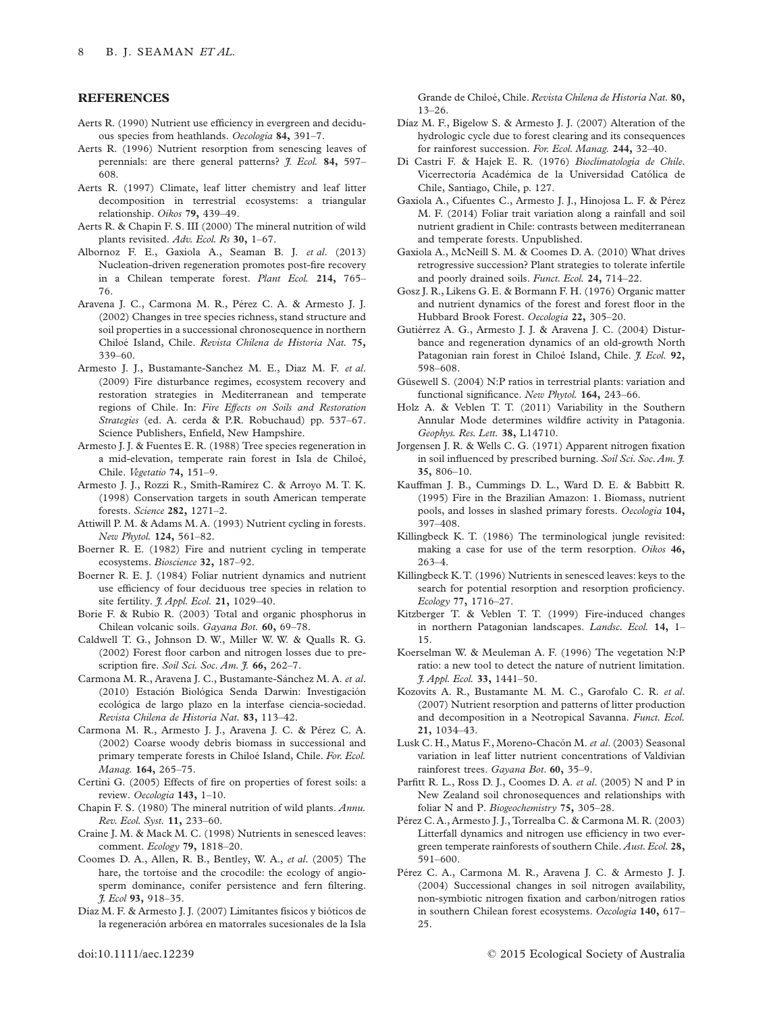#### **REFERENCES**

- Aerts R. (1990) Nutrient use efficiency in evergreen and deciduous species from heathlands. *Oecologia* **84,** 391–7.
- Aerts R. (1996) Nutrient resorption from senescing leaves of perennials: are there general patterns? *J. Ecol.* **84,** 597– 608.
- Aerts R. (1997) Climate, leaf litter chemistry and leaf litter decomposition in terrestrial ecosystems: a triangular relationship. *Oikos* **79,** 439–49.
- Aerts R. & Chapin F. S. III (2000) The mineral nutrition of wild plants revisited. *Adv. Ecol. Rs* **30,** 1–67.
- Albornoz F. E., Gaxiola A., Seaman B. J. *et al*. (2013) Nucleation-driven regeneration promotes post-fire recovery in a Chilean temperate forest. *Plant Ecol.* **214,** 765– 76.
- Aravena J. C., Carmona M. R., Pérez C. A. & Armesto J. J. (2002) Changes in tree species richness, stand structure and soil properties in a successional chronosequence in northern Chiloé Island, Chile. *Revista Chilena de Historia Nat.* **75,** 339–60.
- Armesto J. J., Bustamante-Sanchez M. E., Diaz M. F. *et al*. (2009) Fire disturbance regimes, ecosystem recovery and restoration strategies in Mediterranean and temperate regions of Chile. In: *Fire Effects on Soils and Restoration Strategies* (ed. A. cerda & P.R. Robuchaud) pp. 537–67. Science Publishers, Enfield, New Hampshire.
- Armesto J. J. & Fuentes E. R. (1988) Tree species regeneration in a mid-elevation, temperate rain forest in Isla de Chiloé, Chile. *Vegetatio* **74,** 151–9.
- Armesto J. J., Rozzi R., Smith-Ramírez C. & Arroyo M. T. K. (1998) Conservation targets in south American temperate forests. *Science* **282,** 1271–2.
- Attiwill P. M. & Adams M. A. (1993) Nutrient cycling in forests. *New Phytol.* **124,** 561–82.
- Boerner R. E. (1982) Fire and nutrient cycling in temperate ecosystems. *Bioscience* **32,** 187–92.
- Boerner R. E. J. (1984) Foliar nutrient dynamics and nutrient use efficiency of four deciduous tree species in relation to site fertility. *J. Appl. Ecol.* **21,** 1029–40.
- Borie F. & Rubio R. (2003) Total and organic phosphorus in Chilean volcanic soils. *Gayana Bot.* **60,** 69–78.
- Caldwell T. G., Johnson D. W., Miller W. W. & Qualls R. G. (2002) Forest floor carbon and nitrogen losses due to prescription fire. *Soil Sci. Soc. Am. J.* **66,** 262–7.
- Carmona M. R., Aravena J. C., Bustamante-Sánchez M. A. *et al*. (2010) Estación Biológica Senda Darwin: Investigación ecológica de largo plazo en la interfase ciencia-sociedad. *Revista Chilena de Historia Nat.* **83,** 113–42.
- Carmona M. R., Armesto J. J., Aravena J. C. & Pérez C. A. (2002) Coarse woody debris biomass in successional and primary temperate forests in Chiloé Island, Chile. *For. Ecol. Manag.* **164,** 265–75.
- Certini G. (2005) Effects of fire on properties of forest soils: a review. *Oecologia* **143,** 1–10.
- Chapin F. S. (1980) The mineral nutrition of wild plants. *Annu. Rev. Ecol. Syst.* **11,** 233–60.
- Craine J. M. & Mack M. C. (1998) Nutrients in senesced leaves: comment. *Ecology* **79,** 1818–20.
- Coomes D. A., Allen, R. B., Bentley, W. A., *et al*. (2005) The hare, the tortoise and the crocodile: the ecology of angiosperm dominance, conifer persistence and fern filtering. *J. Ecol* **93,** 918–35.
- Díaz M. F. & Armesto J. J. (2007) Limitantes físicos y bióticos de la regeneración arbórea en matorrales sucesionales de la Isla

Grande de Chiloé, Chile. *Revista Chilena de Historia Nat.* **80,** 13–26.

- Díaz M. F., Bigelow S. & Armesto J. J. (2007) Alteration of the hydrologic cycle due to forest clearing and its consequences for rainforest succession. *For. Ecol. Manag.* **244,** 32–40.
- Di Castri F. & Hajek E. R. (1976) *Bioclimatología de Chile*. Vicerrectoría Académica de la Universidad Católica de Chile, Santiago, Chile, p. 127.
- Gaxiola A., Cifuentes C., Armesto J. J., Hinojosa L. F. & Pérez M. F. (2014) Foliar trait variation along a rainfall and soil nutrient gradient in Chile: contrasts between mediterranean and temperate forests. Unpublished.
- Gaxiola A., McNeill S. M. & Coomes D. A. (2010) What drives retrogressive succession? Plant strategies to tolerate infertile and poorly drained soils. *Funct. Ecol.* **24,** 714–22.
- Gosz J. R., Likens G. E. & Bormann F. H. (1976) Organic matter and nutrient dynamics of the forest and forest floor in the Hubbard Brook Forest. *Oecologia* **22,** 305–20.
- Gutiérrez A. G., Armesto J. J. & Aravena J. C. (2004) Disturbance and regeneration dynamics of an old-growth North Patagonian rain forest in Chiloé Island, Chile. *J. Ecol.* **92,** 598–608.
- Güsewell S. (2004) N:P ratios in terrestrial plants: variation and functional significance. *New Phytol.* **164,** 243–66.
- Holz A. & Veblen T. T. (2011) Variability in the Southern Annular Mode determines wildfire activity in Patagonia. *Geophys. Res. Lett.* **38,** L14710.
- Jorgensen J. R. & Wells C. G. (1971) Apparent nitrogen fixation in soil influenced by prescribed burning. *Soil Sci. Soc.Am. J.* **35,** 806–10.
- Kauffman J. B., Cummings D. L., Ward D. E. & Babbitt R. (1995) Fire in the Brazilian Amazon: 1. Biomass, nutrient pools, and losses in slashed primary forests. *Oecologia* **104,** 397–408.
- Killingbeck K. T. (1986) The terminological jungle revisited: making a case for use of the term resorption. *Oikos* **46,** 263–4.
- Killingbeck K.T. (1996) Nutrients in senesced leaves: keys to the search for potential resorption and resorption proficiency. *Ecology* **77,** 1716–27.
- Kitzberger T. & Veblen T. T. (1999) Fire-induced changes in northern Patagonian landscapes. *Landsc. Ecol.* **14,** 1– 15.
- Koerselman W. & Meuleman A. F. (1996) The vegetation N:P ratio: a new tool to detect the nature of nutrient limitation. *J. Appl. Ecol.* **33,** 1441–50.
- Kozovits A. R., Bustamante M. M. C., Garofalo C. R. *et al*. (2007) Nutrient resorption and patterns of litter production and decomposition in a Neotropical Savanna. *Funct. Ecol.* **21,** 1034–43.
- Lusk C. H., Matus F., Moreno-Chacón M. *et al*. (2003) Seasonal variation in leaf litter nutrient concentrations of Valdivian rainforest trees. *Gayana Bot*. **60,** 35–9.
- Parfitt R. L., Ross D. J., Coomes D. A. *et al*. (2005) N and P in New Zealand soil chronosequences and relationships with foliar N and P. *Biogeochemistry* **75,** 305–28.
- Pérez C. A., Armesto J. J., Torrealba C. & Carmona M. R. (2003) Litterfall dynamics and nitrogen use efficiency in two evergreen temperate rainforests of southern Chile. *Aust.Ecol.* **28,** 591–600.
- Pérez C. A., Carmona M. R., Aravena J. C. & Armesto J. J. (2004) Successional changes in soil nitrogen availability, non-symbiotic nitrogen fixation and carbon/nitrogen ratios in southern Chilean forest ecosystems. *Oecologia* **140,** 617– 25.